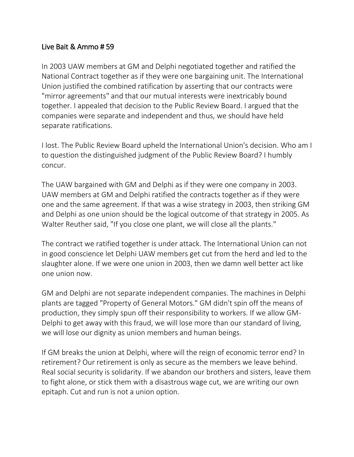## Live Bait & Ammo # 59

In 2003 UAW members at GM and Delphi negotiated together and ratified the National Contract together as if they were one bargaining unit. The International Union justified the combined ratification by asserting that our contracts were "mirror agreements" and that our mutual interests were inextricably bound together. I appealed that decision to the Public Review Board. I argued that the companies were separate and independent and thus, we should have held separate ratifications.

I lost. The Public Review Board upheld the International Union's decision. Who am I to question the distinguished judgment of the Public Review Board? I humbly concur.

The UAW bargained with GM and Delphi as if they were one company in 2003. UAW members at GM and Delphi ratified the contracts together as if they were one and the same agreement. If that was a wise strategy in 2003, then striking GM and Delphi as one union should be the logical outcome of that strategy in 2005. As Walter Reuther said, "If you close one plant, we will close all the plants."

The contract we ratified together is under attack. The International Union can not in good conscience let Delphi UAW members get cut from the herd and led to the slaughter alone. If we were one union in 2003, then we damn well better act like one union now.

GM and Delphi are not separate independent companies. The machines in Delphi plants are tagged "Property of General Motors." GM didn't spin off the means of production, they simply spun off their responsibility to workers. If we allow GM-Delphi to get away with this fraud, we will lose more than our standard of living, we will lose our dignity as union members and human beings.

If GM breaks the union at Delphi, where will the reign of economic terror end? In retirement? Our retirement is only as secure as the members we leave behind. Real social security is solidarity. If we abandon our brothers and sisters, leave them to fight alone, or stick them with a disastrous wage cut, we are writing our own epitaph. Cut and run is not a union option.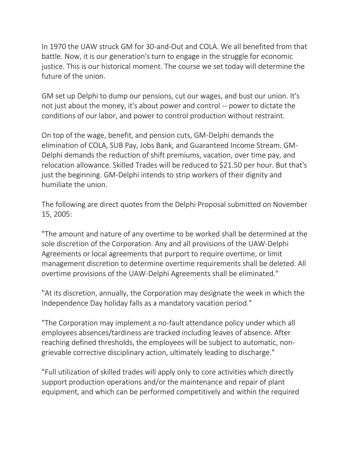In 1970 the UAW struck GM for 30-and-Out and COLA. We all benefited from that battle. Now, it is our generation's turn to engage in the struggle for economic justice. This is our historical moment. The course we set today will determine the future of the union.

GM set up Delphi to dump our pensions, cut our wages, and bust our union. It's not just about the money, it's about power and control -- power to dictate the conditions of our labor, and power to control production without restraint.

On top of the wage, benefit, and pension cuts, GM-Delphi demands the elimination of COLA, SUB Pay, Jobs Bank, and Guaranteed Income Stream. GM-Delphi demands the reduction of shift premiums, vacation, over time pay, and relocation allowance. Skilled Trades will be reduced to \$21.50 per hour. But that's just the beginning. GM-Delphi intends to strip workers of their dignity and humiliate the union.

The following are direct quotes from the Delphi Proposal submitted on November 15, 2005:

"The amount and nature of any overtime to be worked shall be determined at the sole discretion of the Corporation. Any and all provisions of the UAW-Delphi Agreements or local agreements that purport to require overtime, or limit management discretion to determine overtime requirements shall be deleted. All overtime provisions of the UAW-Delphi Agreements shall be eliminated."

"At its discretion, annually, the Corporation may designate the week in which the Independence Day holiday falls as a mandatory vacation period."

"The Corporation may implement a no-fault attendance policy under which all employees absences/tardiness are tracked including leaves of absence. After reaching defined thresholds, the employees will be subject to automatic, nongrievable corrective disciplinary action, ultimately leading to discharge."

"Full utilization of skilled trades will apply only to core activities which directly support production operations and/or the maintenance and repair of plant equipment, and which can be performed competitively and within the required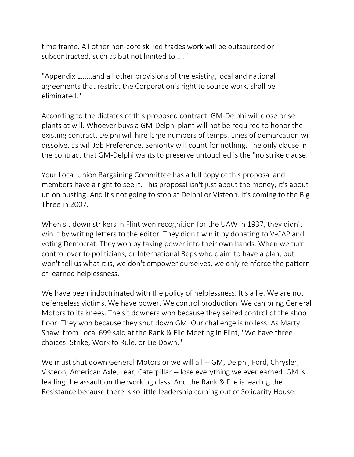time frame. All other non-core skilled trades work will be outsourced or subcontracted, such as but not limited to....."

"Appendix L......and all other provisions of the existing local and national agreements that restrict the Corporation's right to source work, shall be eliminated."

According to the dictates of this proposed contract, GM-Delphi will close or sell plants at will. Whoever buys a GM-Delphi plant will not be required to honor the existing contract. Delphi will hire large numbers of temps. Lines of demarcation will dissolve, as will Job Preference. Seniority will count for nothing. The only clause in the contract that GM-Delphi wants to preserve untouched is the "no strike clause."

Your Local Union Bargaining Committee has a full copy of this proposal and members have a right to see it. This proposal isn't just about the money, it's about union busting. And it's not going to stop at Delphi or Visteon. It's coming to the Big Three in 2007.

When sit down strikers in Flint won recognition for the UAW in 1937, they didn't win it by writing letters to the editor. They didn't win it by donating to V-CAP and voting Democrat. They won by taking power into their own hands. When we turn control over to politicians, or International Reps who claim to have a plan, but won't tell us what it is, we don't empower ourselves, we only reinforce the pattern of learned helplessness.

We have been indoctrinated with the policy of helplessness. It's a lie. We are not defenseless victims. We have power. We control production. We can bring General Motors to its knees. The sit downers won because they seized control of the shop floor. They won because they shut down GM. Our challenge is no less. As Marty Shawl from Local 699 said at the Rank & File Meeting in Flint, "We have three choices: Strike, Work to Rule, or Lie Down."

We must shut down General Motors or we will all -- GM, Delphi, Ford, Chrysler, Visteon, American Axle, Lear, Caterpillar -- lose everything we ever earned. GM is leading the assault on the working class. And the Rank & File is leading the Resistance because there is so little leadership coming out of Solidarity House.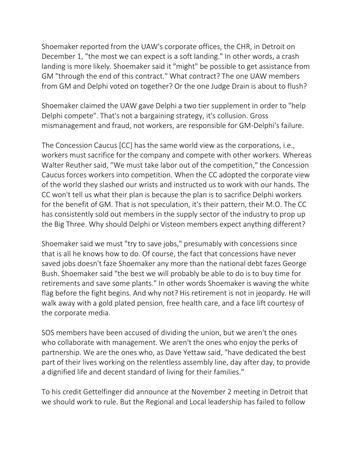Shoemaker reported from the UAW's corporate offices, the CHR, in Detroit on December 1, "the most we can expect is a soft landing." In other words, a crash landing is more likely. Shoemaker said it "might" be possible to get assistance from GM "through the end of this contract." What contract? The one UAW members from GM and Delphi voted on together? Or the one Judge Drain is about to flush?

Shoemaker claimed the UAW gave Delphi a two tier supplement in order to "help Delphi compete". That's not a bargaining strategy, it's collusion. Gross mismanagement and fraud, not workers, are responsible for GM-Delphi's failure.

The Concession Caucus [CC] has the same world view as the corporations, i.e., workers must sacrifice for the company and compete with other workers. Whereas Walter Reuther said, "We must take labor out of the competition," the Concession Caucus forces workers into competition. When the CC adopted the corporate view of the world they slashed our wrists and instructed us to work with our hands. The CC won't tell us what their plan is because the plan is to sacrifice Delphi workers for the benefit of GM. That is not speculation, it's their pattern, their M.O. The CC has consistently sold out members in the supply sector of the industry to prop up the Big Three. Why should Delphi or Visteon members expect anything different?

Shoemaker said we must "try to save jobs," presumably with concessions since that is all he knows how to do. Of course, the fact that concessions have never saved jobs doesn't faze Shoemaker any more than the national debt fazes George Bush. Shoemaker said "the best we will probably be able to do is to buy time for retirements and save some plants." In other words Shoemaker is waving the white flag before the fight begins. And why not? His retirement is not in jeopardy. He will walk away with a gold plated pension, free health care, and a face lift courtesy of the corporate media.

SOS members have been accused of dividing the union, but we aren't the ones who collaborate with management. We aren't the ones who enjoy the perks of partnership. We are the ones who, as Dave Yettaw said, "have dedicated the best part of their lives working on the relentless assembly line, day after day, to provide a dignified life and decent standard of living for their families."

To his credit Gettelfinger did announce at the November 2 meeting in Detroit that we should work to rule. But the Regional and Local leadership has failed to follow